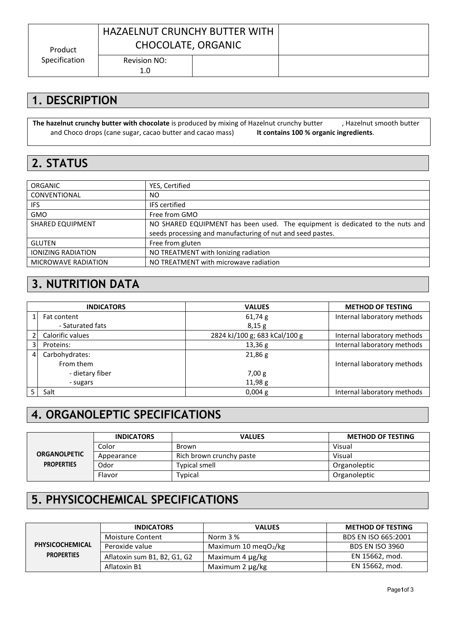|               | <b>HAZAELNUT CRUNCHY BUTTER WITH</b> |  |
|---------------|--------------------------------------|--|
| Product       | CHOCOLATE, ORGANIC                   |  |
| Specification | Revision NO:<br>1.0                  |  |

#### **1. DESCRIPTION**

**The hazelnut crunchy butter with chocolate** is produced by mixing of Hazelnut crunchy butter (60%), Hazelnut smooth butter (21%) and Choco drops (cane sugar, cacao butter and cacao mass) (19%). **It contains 100 % organic ingredients**.

#### **2. STATUS**

| <b>ORGANIC</b>            | YES, Certified                                                                |
|---------------------------|-------------------------------------------------------------------------------|
| CONVENTIONAL              | NO.                                                                           |
| IFS.                      | <b>IFS</b> certified                                                          |
| <b>GMO</b>                | Free from GMO                                                                 |
| <b>SHARED EQUIPMENT</b>   | NO SHARED EQUIPMENT has been used. The equipment is dedicated to the nuts and |
|                           | seeds processing and manufacturing of nut and seed pastes.                    |
| <b>GLUTEN</b>             | Free from gluten                                                              |
| <b>IONIZING RADIATION</b> | NO TREATMENT with lonizing radiation                                          |
| MICROWAVE RADIATION       | NO TREATMENT with microwave radiation                                         |

#### **3. NUTRITION DATA**

|   | <b>INDICATORS</b> | <b>VALUES</b>                 | <b>METHOD OF TESTING</b>    |
|---|-------------------|-------------------------------|-----------------------------|
|   | Fat content       | 61,74g                        | Internal laboratory methods |
|   | - Saturated fats  | 8,15g                         |                             |
|   | Calorific values  | 2824 kJ/100 g; 683 kCal/100 g | Internal laboratory methods |
| 3 | Proteins:         | 13,36 g                       | Internal laboratory methods |
| 4 | Carbohydrates:    | 21,86g                        |                             |
|   | From them         |                               | Internal laboratory methods |
|   | - dietary fiber   | 7,00 g                        |                             |
|   | - sugars          | 11,98 g                       |                             |
|   | Salt              | $0,004$ g                     | Internal laboratory methods |

# **4. ORGANOLEPTIC SPECIFICATIONS**

|                     | <b>INDICATORS</b> | <b>VALUES</b>            | <b>METHOD OF TESTING</b> |
|---------------------|-------------------|--------------------------|--------------------------|
|                     | Color             | Brown                    | Visual                   |
| <b>ORGANOLPETIC</b> | Appearance        | Rich brown crunchy paste | Visual                   |
| <b>PROPERTIES</b>   | Odor              | <b>Typical smell</b>     | Organoleptic             |
|                     | Flavor            | Typical                  | Organoleptic             |

### **5. PHYSICOCHEMICAL SPECIFICATIONS**

|                   | <b>INDICATORS</b>            | <b>VALUES</b>            | <b>METHOD OF TESTING</b> |
|-------------------|------------------------------|--------------------------|--------------------------|
|                   | Moisture Content             | Norm 3 %                 | BDS EN ISO 665:2001      |
| PHYSICOCHEMICAL   | Peroxide value               | Maximum 10 meg $O_2$ /kg | <b>BDS EN ISO 3960</b>   |
| <b>PROPERTIES</b> | Aflatoxin sum B1, B2, G1, G2 | Maximum 4 µg/kg          | EN 15662, mod.           |
|                   | Aflatoxin B1                 | Maximum 2 µg/kg          | EN 15662, mod.           |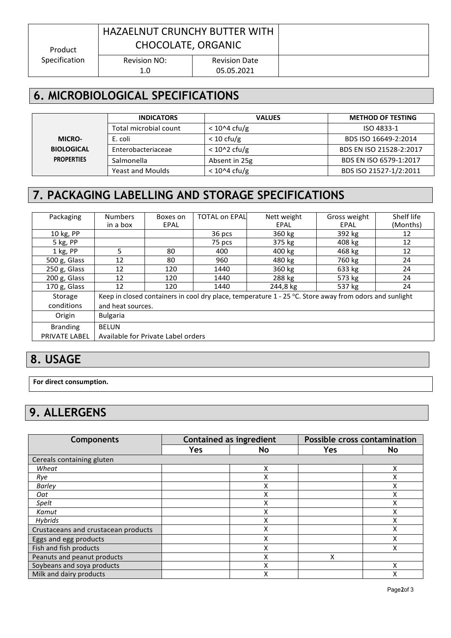## HAZAELNUT CRUNCHY BUTTER WITH CHOCOLATE, ORGANIC

Specification

Revision Date 05.05.2021

## **6. MICROBIOLOGICAL SPECIFICATIONS**

|                   | <b>INDICATORS</b>       | <b>VALUES</b>                  | <b>METHOD OF TESTING</b> |
|-------------------|-------------------------|--------------------------------|--------------------------|
|                   | Total microbial count   | $< 10^{\circ}4 \text{ c}$ fu/g | ISO 4833-1               |
| <b>MICRO-</b>     | E. coli                 | $< 10 \text{ cfu/g}$           | BDS ISO 16649-2:2014     |
| <b>BIOLOGICAL</b> | Enterobacteriaceae      | $< 102$ cfu/g                  | BDS EN ISO 21528-2:2017  |
| <b>PROPERTIES</b> | Salmonella              | Absent in 25g                  | BDS EN ISO 6579-1:2017   |
|                   | <b>Yeast and Moulds</b> | $<$ 10^4 cfu/g                 | BDS ISO 21527-1/2:2011   |

## **7. PACKAGING LABELLING AND STORAGE SPECIFICATIONS**

| Packaging       | <b>Numbers</b>    | Boxes on                           | <b>TOTAL on EPAL</b> | Nett weight                                                                                              | Gross weight | Shelf life |
|-----------------|-------------------|------------------------------------|----------------------|----------------------------------------------------------------------------------------------------------|--------------|------------|
|                 | in a box          | EPAL                               |                      | EPAL                                                                                                     | EPAL         | (Months)   |
| 10 kg, PP       |                   |                                    | 36 pcs               | 360 kg                                                                                                   | 392 kg       | 12         |
| 5 kg, PP        |                   |                                    | 75 pcs               | 375 kg                                                                                                   | 408 kg       | 12         |
| 1 kg, PP        | 5                 | 80                                 | 400                  | 400 kg                                                                                                   | 468 kg       | 12         |
| 500 g, Glass    | 12                | 80                                 | 960                  | 480 kg                                                                                                   | 760 kg       | 24         |
| 250 g, Glass    | 12                | 120                                | 1440                 | 360 kg                                                                                                   | 633 kg       | 24         |
| 200 g, Glass    | 12                | 120                                | 1440                 | 288 kg                                                                                                   | 573 kg       | 24         |
| 170 g, Glass    | 12                | 120                                | 1440                 | 244,8 kg                                                                                                 | 537 kg       | 24         |
| Storage         |                   |                                    |                      | Keep in closed containers in cool dry place, temperature $1 - 25$ °C. Store away from odors and sunlight |              |            |
| conditions      | and heat sources. |                                    |                      |                                                                                                          |              |            |
| Origin          | <b>Bulgaria</b>   |                                    |                      |                                                                                                          |              |            |
| <b>Branding</b> | <b>BELUN</b>      |                                    |                      |                                                                                                          |              |            |
| PRIVATE LABEL   |                   | Available for Private Label orders |                      |                                                                                                          |              |            |

#### **8. USAGE**

**For direct consumption.**

## **9. ALLERGENS**

| <b>Components</b>                   | <b>Contained as ingredient</b> |    | Possible cross contamination |              |
|-------------------------------------|--------------------------------|----|------------------------------|--------------|
|                                     | Yes                            | No | Yes                          | <b>No</b>    |
| Cereals containing gluten           |                                |    |                              |              |
| Wheat                               |                                | x  |                              | x            |
| Rye                                 |                                | v  |                              |              |
| <b>Barley</b>                       |                                | ⋏  |                              | $\checkmark$ |
| Oat                                 |                                | ∧  |                              | x            |
| Spelt                               |                                |    |                              |              |
| Kamut                               |                                | x  |                              | Χ            |
| Hybrids                             |                                | ⋏  |                              | χ            |
| Crustaceans and crustacean products |                                | Χ  |                              | X            |
| Eggs and egg products               |                                | x  |                              | X            |
| Fish and fish products              |                                |    |                              | v            |
| Peanuts and peanut products         |                                | Χ  | X                            |              |
| Soybeans and soya products          |                                | ⋏  |                              |              |
| Milk and dairy products             |                                | v  |                              | χ            |